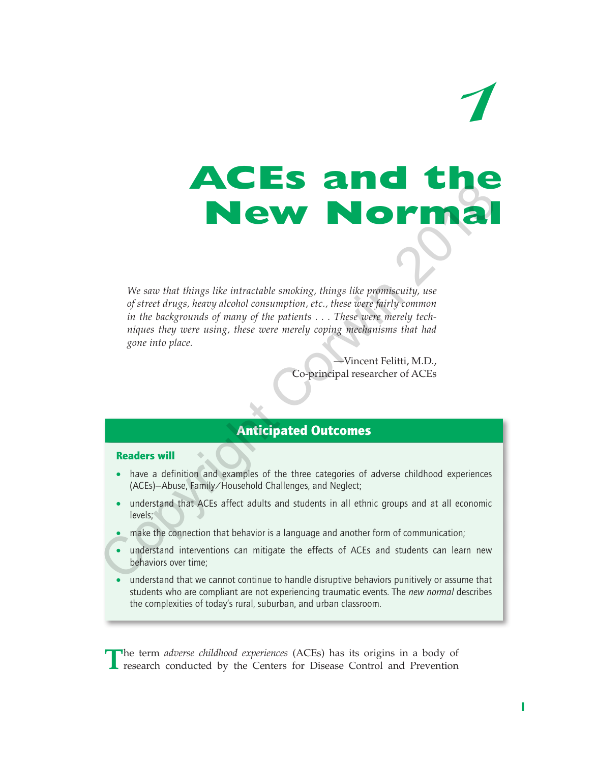*1*

# **ACEs and the New Normal**

*We saw that things like intractable smoking, things like promiscuity, use of street drugs, heavy alcohol consumption, etc., these were fairly common in the backgrounds of many of the patients . . . These were merely techniques they were using, these were merely coping mechanisms that had gone into place.* We saw that things like intractable smoking, things like promiscuity, use<br>of street drugs, heavy alcohol consumption, etc., these were furtly common<br>in the backgrounds of many of the patients . . . These were furtly common

—Vincent Felitti, M.D., Co-principal researcher of ACEs

# Anticipated Outcomes

#### Readers will

- have a definition and examples of the three categories of adverse childhood experiences (ACEs)—Abuse, Family/Household Challenges, and Neglect;
- understand that ACEs affect adults and students in all ethnic groups and at all economic levels;
- make the connection that behavior is a language and another form of communication;
- understand interventions can mitigate the effects of ACEs and students can learn new behaviors over time;
- understand that we cannot continue to handle disruptive behaviors punitively or assume that students who are compliant are not experiencing traumatic events. The *new normal* describes the complexities of today's rural, suburban, and urban classroom.

The term *adverse childhood experiences* (ACEs) has its origins in a body of research conducted by the Centers for Disease Control and Prevention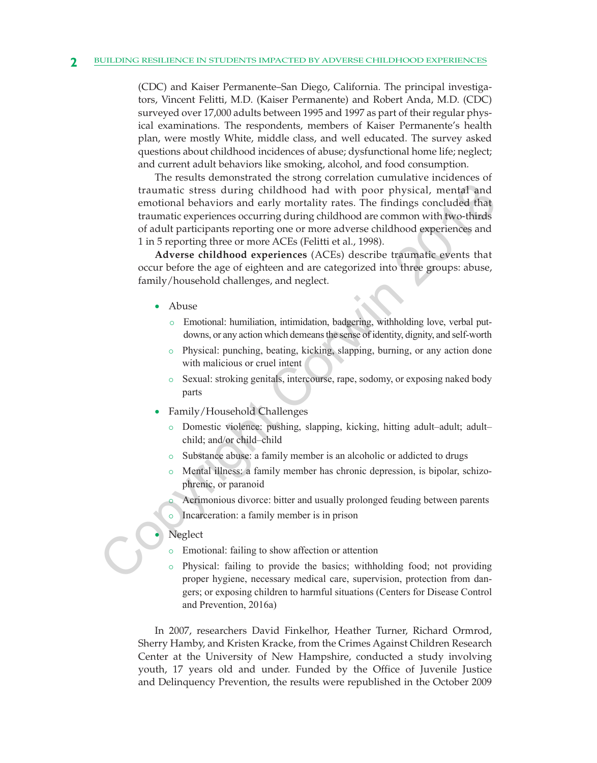(CDC) and Kaiser Permanente–San Diego, California. The principal investigators, Vincent Felitti, M.D. (Kaiser Permanente) and Robert Anda, M.D. (CDC) surveyed over 17,000 adults between 1995 and 1997 as part of their regular physical examinations. The respondents, members of Kaiser Permanente's health plan, were mostly White, middle class, and well educated. The survey asked questions about childhood incidences of abuse; dysfunctional home life; neglect; and current adult behaviors like smoking, alcohol, and food consumption.

The results demonstrated the strong correlation cumulative incidences of traumatic stress during childhood had with poor physical, mental and emotional behaviors and early mortality rates. The findings concluded that traumatic experiences occurring during childhood are common with two-thirds of adult participants reporting one or more adverse childhood experiences and 1 in 5 reporting three or more ACEs (Felitti et al., 1998). traumatic stress during childhood had with poor physical, mental and<br>emotional behaviors and are) mortality rates. The findings conducted final<br>traumatic experiences occurring during childhood are common with live-thinds<br>

**Adverse childhood experiences** (ACEs) describe traumatic events that occur before the age of eighteen and are categorized into three groups: abuse, family/household challenges, and neglect.

- Abuse
	- � Emotional: humiliation, intimidation, badgering, withholding love, verbal putdowns, or any action which demeans the sense of identity, dignity, and self-worth
	- � Physical: punching, beating, kicking, slapping, burning, or any action done with malicious or cruel intent
	- � Sexual: stroking genitals, intercourse, rape, sodomy, or exposing naked body parts
- Family/Household Challenges
	- � Domestic violence: pushing, slapping, kicking, hitting adult–adult; adult– child; and/or child–child
	- $\circ$  Substance abuse: a family member is an alcoholic or addicted to drugs
	- { Mental illness: a family member has chronic depression, is bipolar, schizophrenic, or paranoid
	- { Acrimonious divorce: bitter and usually prolonged feuding between parents
	- { Incarceration: a family member is in prison
- Neglect
	- Emotional: failing to show affection or attention
	- { Physical: failing to provide the basics; withholding food; not providing proper hygiene, necessary medical care, supervision, protection from dangers; or exposing children to harmful situations (Centers for Disease Control and Prevention, 2016a)

In 2007, researchers David Finkelhor, Heather Turner, Richard Ormrod, Sherry Hamby, and Kristen Kracke, from the Crimes Against Children Research Center at the University of New Hampshire, conducted a study involving youth, 17 years old and under. Funded by the Office of Juvenile Justice and Delinquency Prevention, the results were republished in the October 2009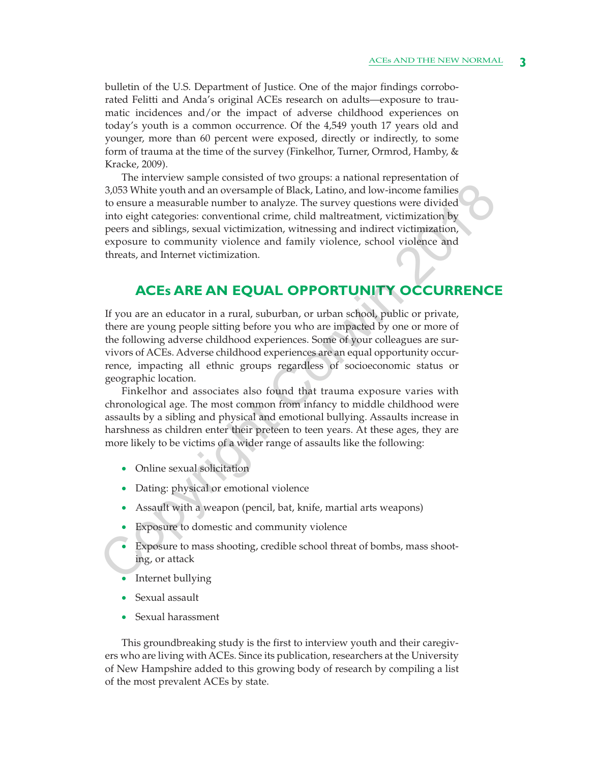bulletin of the U.S. Department of Justice. One of the major findings corroborated Felitti and Anda's original ACEs research on adults—exposure to traumatic incidences and/or the impact of adverse childhood experiences on today's youth is a common occurrence. Of the 4,549 youth 17 years old and younger, more than 60 percent were exposed, directly or indirectly, to some form of trauma at the time of the survey (Finkelhor, Turner, Ormrod, Hamby, & Kracke, 2009).

The interview sample consisted of two groups: a national representation of 3,053 White youth and an oversample of Black, Latino, and low-income families to ensure a measurable number to analyze. The survey questions were divided into eight categories: conventional crime, child maltreatment, victimization by peers and siblings, sexual victimization, witnessing and indirect victimization, exposure to community violence and family violence, school violence and threats, and Internet victimization. 3,053 White youth and an oversample of Black, Latino, and low-income families<br>
to ensure a measurable number to analyze. The survey questions were divided<br>
into eight categories: conventional crime, child maltreatment, vi

# **ACEs ARE AN EQUAL OPPORTUNITY OCCURRENCE**

If you are an educator in a rural, suburban, or urban school, public or private, there are young people sitting before you who are impacted by one or more of the following adverse childhood experiences. Some of your colleagues are survivors of ACEs. Adverse childhood experiences are an equal opportunity occurrence, impacting all ethnic groups regardless of socioeconomic status or geographic location.

Finkelhor and associates also found that trauma exposure varies with chronological age. The most common from infancy to middle childhood were assaults by a sibling and physical and emotional bullying. Assaults increase in harshness as children enter their preteen to teen years. At these ages, they are more likely to be victims of a wider range of assaults like the following:

- Online sexual solicitation
- Dating: physical or emotional violence
- Assault with a weapon (pencil, bat, knife, martial arts weapons)
- Exposure to domestic and community violence
- Exposure to mass shooting, credible school threat of bombs, mass shooting, or attack
- Internet bullying
- Sexual assault
- Sexual harassment

This groundbreaking study is the first to interview youth and their caregivers who are living with ACEs. Since its publication, researchers at the University of New Hampshire added to this growing body of research by compiling a list of the most prevalent ACEs by state.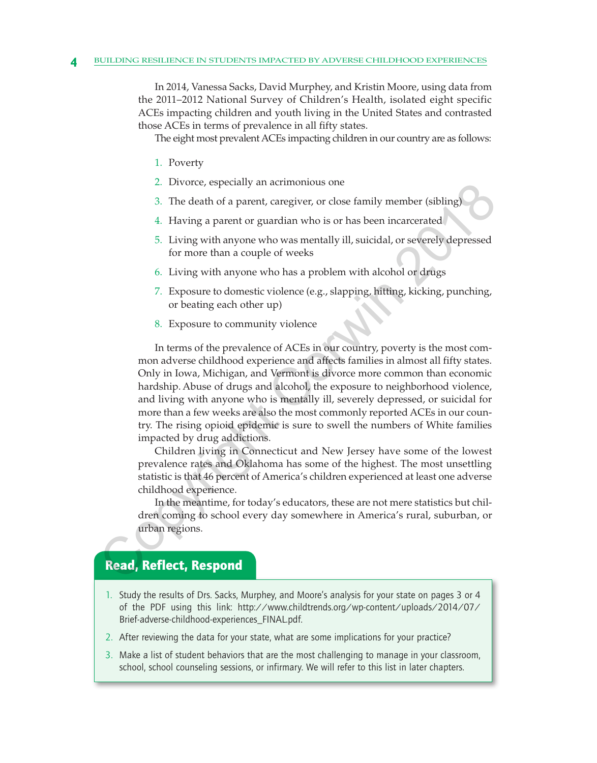In 2014, Vanessa Sacks, David Murphey, and Kristin Moore, using data from the 2011–2012 National Survey of Children's Health, isolated eight specific ACEs impacting children and youth living in the United States and contrasted those ACEs in terms of prevalence in all fifty states.

The eight most prevalent ACEs impacting children in our country are as follows:

- 1. Poverty
- 2. Divorce, especially an acrimonious one
- 3. The death of a parent, caregiver, or close family member (sibling)
- 4. Having a parent or guardian who is or has been incarcerated
- 5. Living with anyone who was mentally ill, suicidal, or severely depressed for more than a couple of weeks
- 6. Living with anyone who has a problem with alcohol or drugs
- 7. Exposure to domestic violence (e.g., slapping, hitting, kicking, punching, or beating each other up)
- 8. Exposure to community violence

In terms of the prevalence of ACEs in our country, poverty is the most common adverse childhood experience and affects families in almost all fifty states. Only in Iowa, Michigan, and Vermont is divorce more common than economic hardship. Abuse of drugs and alcohol, the exposure to neighborhood violence, and living with anyone who is mentally ill, severely depressed, or suicidal for more than a few weeks are also the most commonly reported ACEs in our country. The rising opioid epidemic is sure to swell the numbers of White families impacted by drug addictions. 2. Divorce, especially an acrimonious one<br>3. The death of a parent, caregive, or close family member (sibling)<br>4. Having a parent or guardian who is or has been incarcerated<br>5. Living with anyone who was mentally ill, suic

Children living in Connecticut and New Jersey have some of the lowest prevalence rates and Oklahoma has some of the highest. The most unsettling statistic is that 46 percent of America's children experienced at least one adverse childhood experience.

In the meantime, for today's educators, these are not mere statistics but children coming to school every day somewhere in America's rural, suburban, or urban regions.

## Read, Reflect, Respond

- 1. Study the results of Drs. Sacks, Murphey, and Moore's analysis for your state on pages 3 or 4 of the PDF using this link: http://www.childtrends.org/wp-content/uploads/2014/07/ Brief-adverse-childhood-experiences\_FINAL.pdf.
- 2. After reviewing the data for your state, what are some implications for your practice?
- 3. Make a list of student behaviors that are the most challenging to manage in your classroom, school, school counseling sessions, or infirmary. We will refer to this list in later chapters.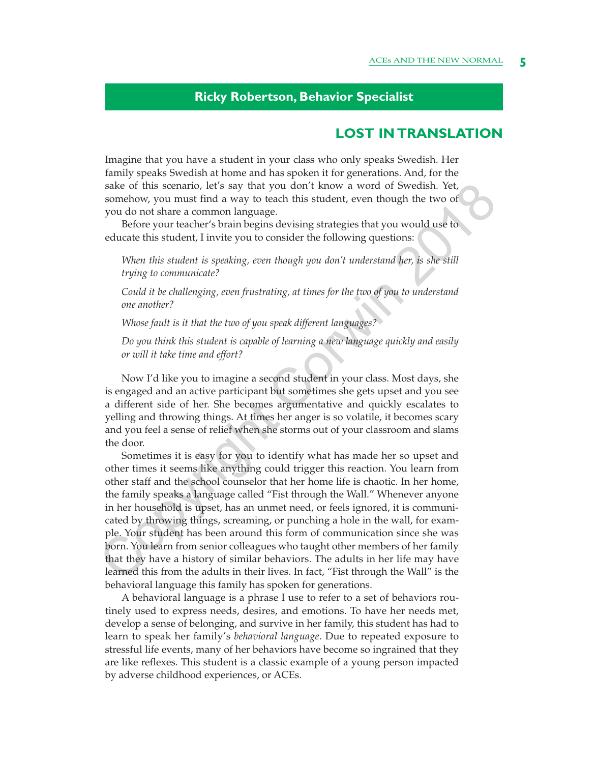#### **Ricky Robertson, Behavior Specialist**

#### **LOST IN TRANSLATION**

Imagine that you have a student in your class who only speaks Swedish. Her family speaks Swedish at home and has spoken it for generations. And, for the sake of this scenario, let's say that you don't know a word of Swedish. Yet, somehow, you must find a way to teach this student, even though the two of you do not share a common language.

Before your teacher's brain begins devising strategies that you would use to educate this student, I invite you to consider the following questions:

*When this student is speaking, even though you don't understand her, is she still trying to communicate?*

*Could it be challenging, even frustrating, at times for the two of you to understand one another?*

*Whose fault is it that the two of you speak different languages?*

*Do you think this student is capable of learning a new language quickly and easily or will it take time and effort?*

Now I'd like you to imagine a second student in your class. Most days, she is engaged and an active participant but sometimes she gets upset and you see a different side of her. She becomes argumentative and quickly escalates to yelling and throwing things. At times her anger is so volatile, it becomes scary and you feel a sense of relief when she storms out of your classroom and slams the door.

Sometimes it is easy for you to identify what has made her so upset and other times it seems like anything could trigger this reaction. You learn from other staff and the school counselor that her home life is chaotic. In her home, the family speaks a language called "Fist through the Wall." Whenever anyone in her household is upset, has an unmet need, or feels ignored, it is communicated by throwing things, screaming, or punching a hole in the wall, for example. Your student has been around this form of communication since she was born. You learn from senior colleagues who taught other members of her family that they have a history of similar behaviors. The adults in her life may have learned this from the adults in their lives. In fact, "Fist through the Wall" is the behavioral language this family has spoken for generations. sake of this scenario, let's say that you don't know a word of Swedish. Yet,<br>somehow, you must find a way to teach this student, even though the two of<br>you do not share a common language.<br>We recover teacher's brain begins

A behavioral language is a phrase I use to refer to a set of behaviors routinely used to express needs, desires, and emotions. To have her needs met, develop a sense of belonging, and survive in her family, this student has had to learn to speak her family's *behavioral language*. Due to repeated exposure to stressful life events, many of her behaviors have become so ingrained that they are like reflexes. This student is a classic example of a young person impacted by adverse childhood experiences, or ACEs.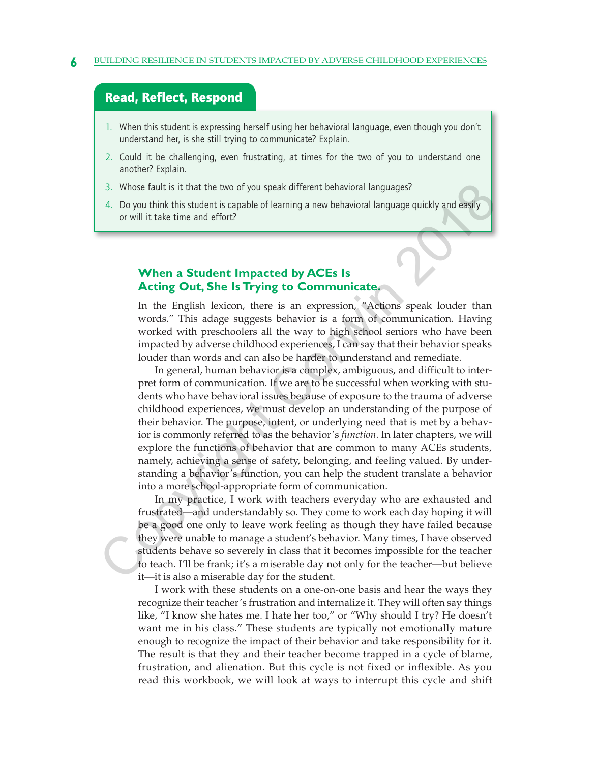#### Read, Reflect, Respond

- 1. When this student is expressing herself using her behavioral language, even though you don't understand her, is she still trying to communicate? Explain.
- 2. Could it be challenging, even frustrating, at times for the two of you to understand one another? Explain.
- 3. Whose fault is it that the two of you speak different behavioral languages?
- 4. Do you think this student is capable of learning a new behavioral language quickly and easily or will it take time and effort?

#### **When a Student Impacted by ACEs Is Acting Out, She Is Trying to Communicate.**

In the English lexicon, there is an expression, "Actions speak louder than words." This adage suggests behavior is a form of communication. Having worked with preschoolers all the way to high school seniors who have been impacted by adverse childhood experiences, I can say that their behavior speaks louder than words and can also be harder to understand and remediate.

In general, human behavior is a complex, ambiguous, and difficult to interpret form of communication. If we are to be successful when working with students who have behavioral issues because of exposure to the trauma of adverse childhood experiences, we must develop an understanding of the purpose of their behavior. The purpose, intent, or underlying need that is met by a behavior is commonly referred to as the behavior's *function*. In later chapters, we will explore the functions of behavior that are common to many ACEs students, namely, achieving a sense of safety, belonging, and feeling valued. By understanding a behavior's function, you can help the student translate a behavior into a more school-appropriate form of communication. 3. Whose fault is it that the two of you speak different behavioral languages?<br>4. Do you think this student is capable of learning a new behavioral language quickly and easily<br>or will it take time and effort?<br>6. Correspond

In my practice, I work with teachers everyday who are exhausted and frustrated—and understandably so. They come to work each day hoping it will be a good one only to leave work feeling as though they have failed because they were unable to manage a student's behavior. Many times, I have observed students behave so severely in class that it becomes impossible for the teacher to teach. I'll be frank; it's a miserable day not only for the teacher—but believe it—it is also a miserable day for the student.

I work with these students on a one-on-one basis and hear the ways they recognize their teacher's frustration and internalize it. They will often say things like, "I know she hates me. I hate her too," or "Why should I try? He doesn't want me in his class." These students are typically not emotionally mature enough to recognize the impact of their behavior and take responsibility for it. The result is that they and their teacher become trapped in a cycle of blame, frustration, and alienation. But this cycle is not fixed or inflexible. As you read this workbook, we will look at ways to interrupt this cycle and shift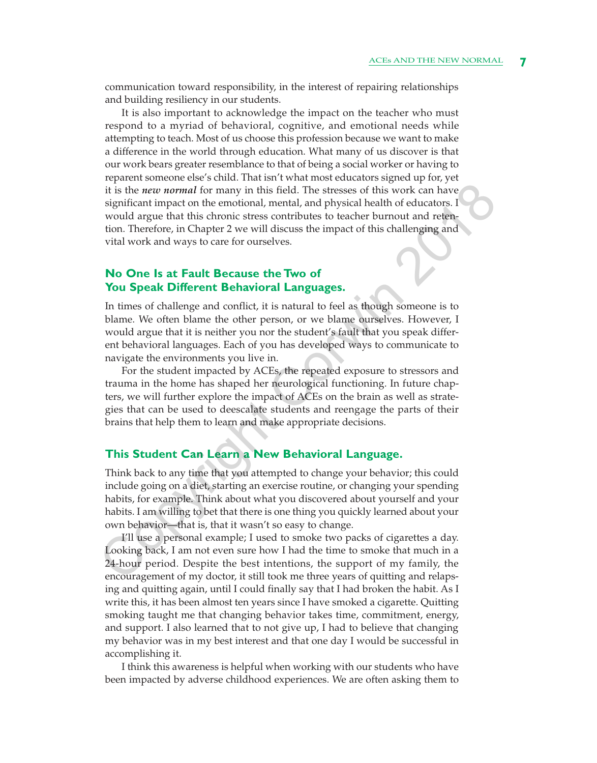communication toward responsibility, in the interest of repairing relationships and building resiliency in our students.

It is also important to acknowledge the impact on the teacher who must respond to a myriad of behavioral, cognitive, and emotional needs while attempting to teach. Most of us choose this profession because we want to make a difference in the world through education. What many of us discover is that our work bears greater resemblance to that of being a social worker or having to reparent someone else's child. That isn't what most educators signed up for, yet it is the *new normal* for many in this field. The stresses of this work can have significant impact on the emotional, mental, and physical health of educators. I would argue that this chronic stress contributes to teacher burnout and retention. Therefore, in Chapter 2 we will discuss the impact of this challenging and vital work and ways to care for ourselves. it is the *new normal* for many in this field. The stresses of this work can have<br>it is the *new normal* for many in this field. The stresses of this work can have<br>significant impact on the emotional, mental, and physical

#### **No One Is at Fault Because the Two of You Speak Different Behavioral Languages.**

In times of challenge and conflict, it is natural to feel as though someone is to blame. We often blame the other person, or we blame ourselves. However, I would argue that it is neither you nor the student's fault that you speak different behavioral languages. Each of you has developed ways to communicate to navigate the environments you live in.

For the student impacted by ACEs, the repeated exposure to stressors and trauma in the home has shaped her neurological functioning. In future chapters, we will further explore the impact of ACEs on the brain as well as strategies that can be used to deescalate students and reengage the parts of their brains that help them to learn and make appropriate decisions.

#### **This Student Can Learn a New Behavioral Language.**

Think back to any time that you attempted to change your behavior; this could include going on a diet, starting an exercise routine, or changing your spending habits, for example. Think about what you discovered about yourself and your habits. I am willing to bet that there is one thing you quickly learned about your own behavior—that is, that it wasn't so easy to change.

I'll use a personal example; I used to smoke two packs of cigarettes a day. Looking back, I am not even sure how I had the time to smoke that much in a 24-hour period. Despite the best intentions, the support of my family, the encouragement of my doctor, it still took me three years of quitting and relapsing and quitting again, until I could finally say that I had broken the habit. As I write this, it has been almost ten years since I have smoked a cigarette. Quitting smoking taught me that changing behavior takes time, commitment, energy, and support. I also learned that to not give up, I had to believe that changing my behavior was in my best interest and that one day I would be successful in accomplishing it.

I think this awareness is helpful when working with our students who have been impacted by adverse childhood experiences. We are often asking them to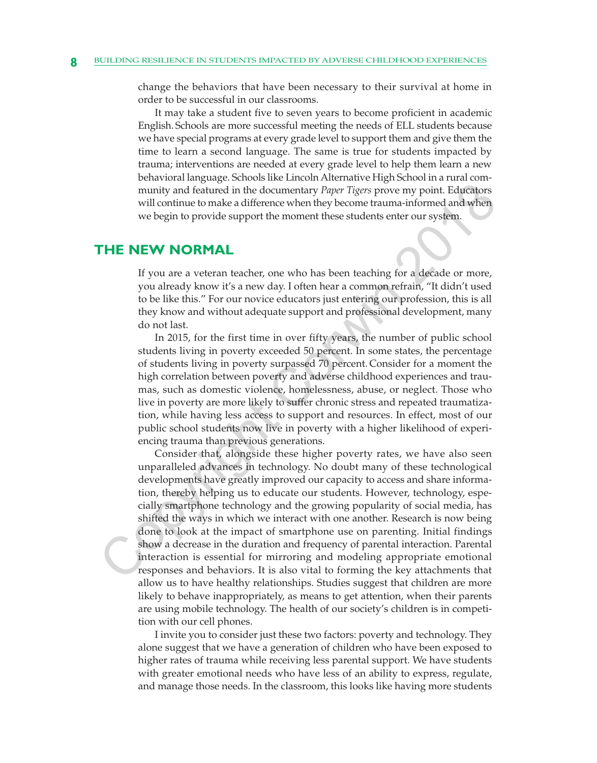change the behaviors that have been necessary to their survival at home in order to be successful in our classrooms.

It may take a student five to seven years to become proficient in academic English. Schools are more successful meeting the needs of ELL students because we have special programs at every grade level to support them and give them the time to learn a second language. The same is true for students impacted by trauma; interventions are needed at every grade level to help them learn a new behavioral language. Schools like Lincoln Alternative High School in a rural community and featured in the documentary *Paper Tigers* prove my point. Educators will continue to make a difference when they become trauma-informed and when we begin to provide support the moment these students enter our system.

### **THE NEW NORMAL**

If you are a veteran teacher, one who has been teaching for a decade or more, you already know it's a new day. I often hear a common refrain, "It didn't used to be like this." For our novice educators just entering our profession, this is all they know and without adequate support and professional development, many do not last.

In 2015, for the first time in over fifty years, the number of public school students living in poverty exceeded 50 percent. In some states, the percentage of students living in poverty surpassed 70 percent. Consider for a moment the high correlation between poverty and adverse childhood experiences and traumas, such as domestic violence, homelessness, abuse, or neglect. Those who live in poverty are more likely to suffer chronic stress and repeated traumatization, while having less access to support and resources. In effect, most of our public school students now live in poverty with a higher likelihood of experiencing trauma than previous generations.

Consider that, alongside these higher poverty rates, we have also seen unparalleled advances in technology. No doubt many of these technological developments have greatly improved our capacity to access and share information, thereby helping us to educate our students. However, technology, especially smartphone technology and the growing popularity of social media, has shifted the ways in which we interact with one another. Research is now being done to look at the impact of smartphone use on parenting. Initial findings show a decrease in the duration and frequency of parental interaction. Parental interaction is essential for mirroring and modeling appropriate emotional responses and behaviors. It is also vital to forming the key attachments that allow us to have healthy relationships. Studies suggest that children are more likely to behave inappropriately, as means to get attention, when their parents are using mobile technology. The health of our society's children is in competition with our cell phones. munity and featured in the documentary *Paper* Tigers prove my point. Educators will continue to make a difference when they become trauma-informed and when we begin to provide support the moment these students enter our

I invite you to consider just these two factors: poverty and technology. They alone suggest that we have a generation of children who have been exposed to higher rates of trauma while receiving less parental support. We have students with greater emotional needs who have less of an ability to express, regulate, and manage those needs. In the classroom, this looks like having more students